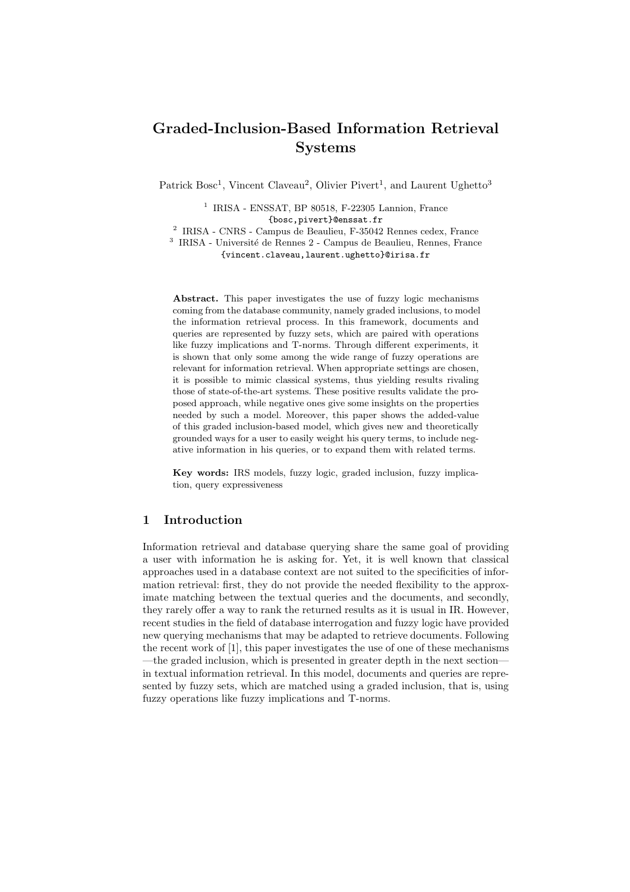# Graded-Inclusion-Based Information Retrieval Systems

Patrick  $Bose<sup>1</sup>$ , Vincent Claveau<sup>2</sup>, Olivier Pivert<sup>1</sup>, and Laurent Ughetto<sup>3</sup>

1 IRISA - ENSSAT, BP 80518, F-22305 Lannion, France {bosc,pivert}@enssat.fr

2 IRISA - CNRS - Campus de Beaulieu, F-35042 Rennes cedex, France <sup>3</sup> IRISA - Université de Rennes 2 - Campus de Beaulieu, Rennes, France {vincent.claveau,laurent.ughetto}@irisa.fr

Abstract. This paper investigates the use of fuzzy logic mechanisms coming from the database community, namely graded inclusions, to model the information retrieval process. In this framework, documents and queries are represented by fuzzy sets, which are paired with operations like fuzzy implications and T-norms. Through different experiments, it is shown that only some among the wide range of fuzzy operations are relevant for information retrieval. When appropriate settings are chosen, it is possible to mimic classical systems, thus yielding results rivaling those of state-of-the-art systems. These positive results validate the proposed approach, while negative ones give some insights on the properties needed by such a model. Moreover, this paper shows the added-value of this graded inclusion-based model, which gives new and theoretically grounded ways for a user to easily weight his query terms, to include negative information in his queries, or to expand them with related terms.

Key words: IRS models, fuzzy logic, graded inclusion, fuzzy implication, query expressiveness

# 1 Introduction

Information retrieval and database querying share the same goal of providing a user with information he is asking for. Yet, it is well known that classical approaches used in a database context are not suited to the specificities of information retrieval: first, they do not provide the needed flexibility to the approximate matching between the textual queries and the documents, and secondly, they rarely offer a way to rank the returned results as it is usual in IR. However, recent studies in the field of database interrogation and fuzzy logic have provided new querying mechanisms that may be adapted to retrieve documents. Following the recent work of [1], this paper investigates the use of one of these mechanisms —the graded inclusion, which is presented in greater depth in the next section in textual information retrieval. In this model, documents and queries are represented by fuzzy sets, which are matched using a graded inclusion, that is, using fuzzy operations like fuzzy implications and T-norms.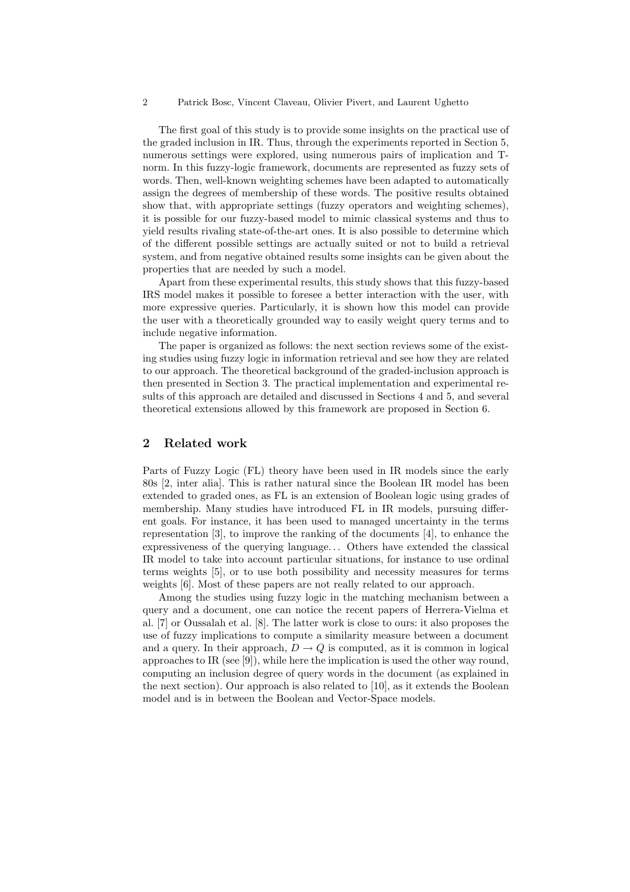The first goal of this study is to provide some insights on the practical use of the graded inclusion in IR. Thus, through the experiments reported in Section 5, numerous settings were explored, using numerous pairs of implication and Tnorm. In this fuzzy-logic framework, documents are represented as fuzzy sets of words. Then, well-known weighting schemes have been adapted to automatically assign the degrees of membership of these words. The positive results obtained show that, with appropriate settings (fuzzy operators and weighting schemes), it is possible for our fuzzy-based model to mimic classical systems and thus to yield results rivaling state-of-the-art ones. It is also possible to determine which of the different possible settings are actually suited or not to build a retrieval system, and from negative obtained results some insights can be given about the properties that are needed by such a model.

Apart from these experimental results, this study shows that this fuzzy-based IRS model makes it possible to foresee a better interaction with the user, with more expressive queries. Particularly, it is shown how this model can provide the user with a theoretically grounded way to easily weight query terms and to include negative information.

The paper is organized as follows: the next section reviews some of the existing studies using fuzzy logic in information retrieval and see how they are related to our approach. The theoretical background of the graded-inclusion approach is then presented in Section 3. The practical implementation and experimental results of this approach are detailed and discussed in Sections 4 and 5, and several theoretical extensions allowed by this framework are proposed in Section 6.

# 2 Related work

Parts of Fuzzy Logic (FL) theory have been used in IR models since the early 80s [2, inter alia]. This is rather natural since the Boolean IR model has been extended to graded ones, as FL is an extension of Boolean logic using grades of membership. Many studies have introduced FL in IR models, pursuing different goals. For instance, it has been used to managed uncertainty in the terms representation [3], to improve the ranking of the documents [4], to enhance the expressiveness of the querying language. . . Others have extended the classical IR model to take into account particular situations, for instance to use ordinal terms weights [5], or to use both possibility and necessity measures for terms weights [6]. Most of these papers are not really related to our approach.

Among the studies using fuzzy logic in the matching mechanism between a query and a document, one can notice the recent papers of Herrera-Vielma et al. [7] or Oussalah et al. [8]. The latter work is close to ours: it also proposes the use of fuzzy implications to compute a similarity measure between a document and a query. In their approach,  $D \to Q$  is computed, as it is common in logical approaches to IR (see [9]), while here the implication is used the other way round, computing an inclusion degree of query words in the document (as explained in the next section). Our approach is also related to [10], as it extends the Boolean model and is in between the Boolean and Vector-Space models.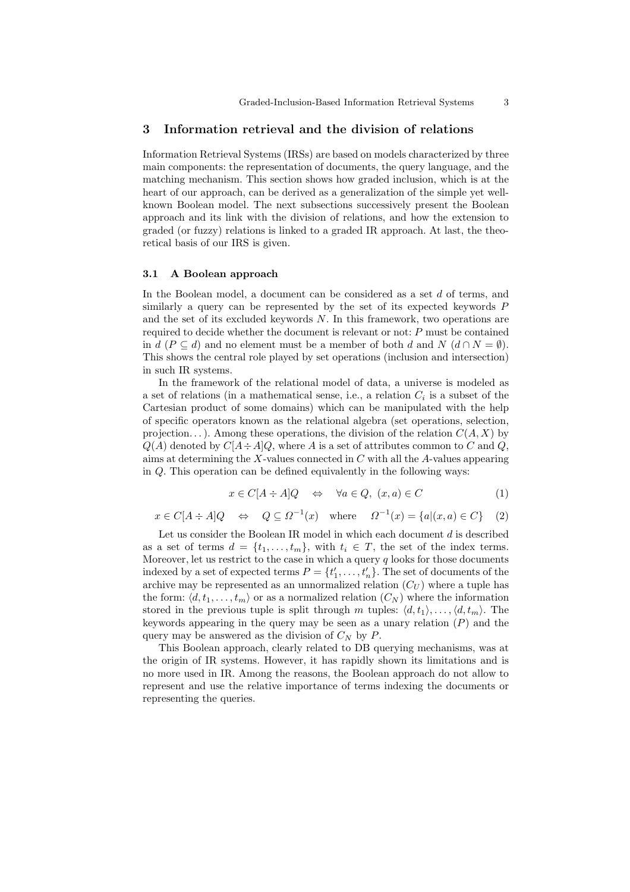## 3 Information retrieval and the division of relations

Information Retrieval Systems (IRSs) are based on models characterized by three main components: the representation of documents, the query language, and the matching mechanism. This section shows how graded inclusion, which is at the heart of our approach, can be derived as a generalization of the simple yet wellknown Boolean model. The next subsections successively present the Boolean approach and its link with the division of relations, and how the extension to graded (or fuzzy) relations is linked to a graded IR approach. At last, the theoretical basis of our IRS is given.

## 3.1 A Boolean approach

In the Boolean model, a document can be considered as a set d of terms, and similarly a query can be represented by the set of its expected keywords  $P$ and the set of its excluded keywords  $N$ . In this framework, two operations are required to decide whether the document is relevant or not: P must be contained in d ( $P \subseteq d$ ) and no element must be a member of both d and  $N$  ( $d \cap N = \emptyset$ ). This shows the central role played by set operations (inclusion and intersection) in such IR systems.

In the framework of the relational model of data, a universe is modeled as a set of relations (in a mathematical sense, i.e., a relation  $C_i$  is a subset of the Cartesian product of some domains) which can be manipulated with the help of specific operators known as the relational algebra (set operations, selection, projection...). Among these operations, the division of the relation  $C(A, X)$  by  $Q(A)$  denoted by  $C[A \div A]Q$ , where A is a set of attributes common to C and Q, aims at determining the  $X$ -values connected in  $C$  with all the  $A$ -values appearing in Q. This operation can be defined equivalently in the following ways:

$$
x \in C[A \div A]Q \quad \Leftrightarrow \quad \forall a \in Q, \ (x, a) \in C \tag{1}
$$

$$
x \in C[A \div A]Q \iff Q \subseteq \Omega^{-1}(x)
$$
 where  $\Omega^{-1}(x) = \{a | (x, a) \in C\}$  (2)

Let us consider the Boolean IR model in which each document d is described as a set of terms  $d = \{t_1, \ldots, t_m\}$ , with  $t_i \in T$ , the set of the index terms. Moreover, let us restrict to the case in which a query  $q$  looks for those documents indexed by a set of expected terms  $P = \{t'_1, \ldots, t'_n\}$ . The set of documents of the archive may be represented as an unnormalized relation  $(C_U)$  where a tuple has the form:  $\langle d, t_1, \ldots, t_m \rangle$  or as a normalized relation  $(C_N)$  where the information stored in the previous tuple is split through m tuples:  $\langle d, t_1 \rangle, \ldots, \langle d, t_m \rangle$ . The keywords appearing in the query may be seen as a unary relation  $(P)$  and the query may be answered as the division of  $C_N$  by P.

This Boolean approach, clearly related to DB querying mechanisms, was at the origin of IR systems. However, it has rapidly shown its limitations and is no more used in IR. Among the reasons, the Boolean approach do not allow to represent and use the relative importance of terms indexing the documents or representing the queries.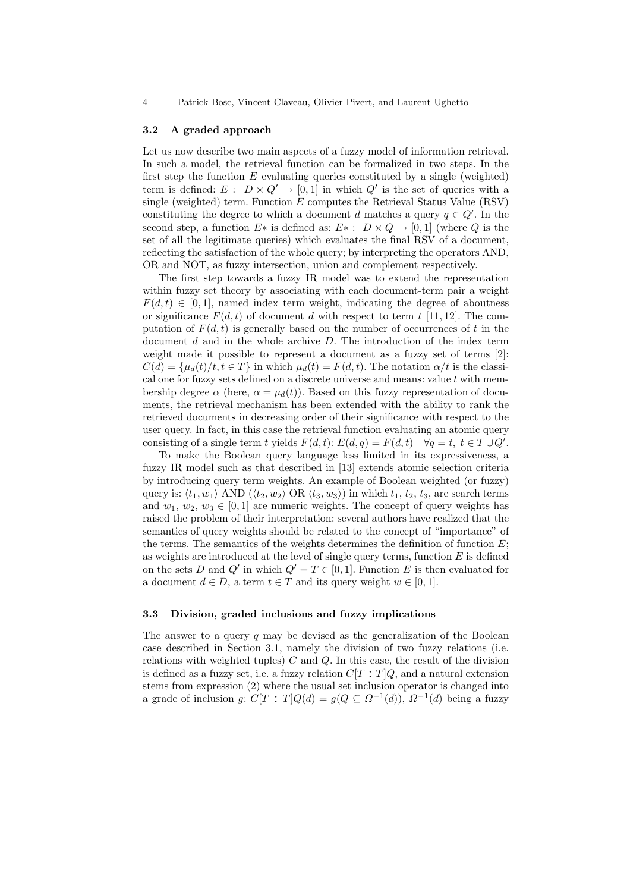4 Patrick Bosc, Vincent Claveau, Olivier Pivert, and Laurent Ughetto

#### 3.2 A graded approach

Let us now describe two main aspects of a fuzzy model of information retrieval. In such a model, the retrieval function can be formalized in two steps. In the first step the function  $E$  evaluating queries constituted by a single (weighted) term is defined:  $E: D \times Q' \to [0,1]$  in which  $Q'$  is the set of queries with a single (weighted) term. Function  $E$  computes the Retrieval Status Value (RSV) constituting the degree to which a document d matches a query  $q \in Q'$ . In the second step, a function  $E^*$  is defined as:  $E^*$  :  $D \times Q \rightarrow [0, 1]$  (where Q is the set of all the legitimate queries) which evaluates the final RSV of a document, reflecting the satisfaction of the whole query; by interpreting the operators AND, OR and NOT, as fuzzy intersection, union and complement respectively.

The first step towards a fuzzy IR model was to extend the representation within fuzzy set theory by associating with each document-term pair a weight  $F(d, t) \in [0, 1]$ , named index term weight, indicating the degree of aboutness or significance  $F(d, t)$  of document d with respect to term t [11, 12]. The computation of  $F(d, t)$  is generally based on the number of occurrences of t in the document  $d$  and in the whole archive  $D$ . The introduction of the index term weight made it possible to represent a document as a fuzzy set of terms [2]:  $C(d) = {\mu_d(t)/t, t \in T}$  in which  $\mu_d(t) = F(d, t)$ . The notation  $\alpha/t$  is the classical one for fuzzy sets defined on a discrete universe and means: value  $t$  with membership degree  $\alpha$  (here,  $\alpha = \mu_d(t)$ ). Based on this fuzzy representation of documents, the retrieval mechanism has been extended with the ability to rank the retrieved documents in decreasing order of their significance with respect to the user query. In fact, in this case the retrieval function evaluating an atomic query consisting of a single term t yields  $F(d, t)$ :  $E(d, q) = F(d, t) \quad \forall q = t, t \in T \cup Q'$ .

To make the Boolean query language less limited in its expressiveness, a fuzzy IR model such as that described in [13] extends atomic selection criteria by introducing query term weights. An example of Boolean weighted (or fuzzy) query is:  $\langle t_1, w_1 \rangle$  AND  $(\langle t_2, w_2 \rangle \text{ OR } \langle t_3, w_3 \rangle)$  in which  $t_1, t_2, t_3$ , are search terms and  $w_1, w_2, w_3 \in [0, 1]$  are numeric weights. The concept of query weights has raised the problem of their interpretation: several authors have realized that the semantics of query weights should be related to the concept of "importance" of the terms. The semantics of the weights determines the definition of function  $E$ : as weights are introduced at the level of single query terms, function  $E$  is defined on the sets D and Q' in which  $Q' = T \in [0, 1]$ . Function E is then evaluated for a document  $d \in D$ , a term  $t \in T$  and its query weight  $w \in [0, 1]$ .

## 3.3 Division, graded inclusions and fuzzy implications

The answer to a query  $q$  may be devised as the generalization of the Boolean case described in Section 3.1, namely the division of two fuzzy relations (i.e. relations with weighted tuples)  $C$  and  $Q$ . In this case, the result of the division is defined as a fuzzy set, i.e. a fuzzy relation  $C[T \div T]Q$ , and a natural extension stems from expression (2) where the usual set inclusion operator is changed into a grade of inclusion  $g: C[T \div T]Q(d) = g(Q \subseteq \Omega^{-1}(d)), \Omega^{-1}(d)$  being a fuzzy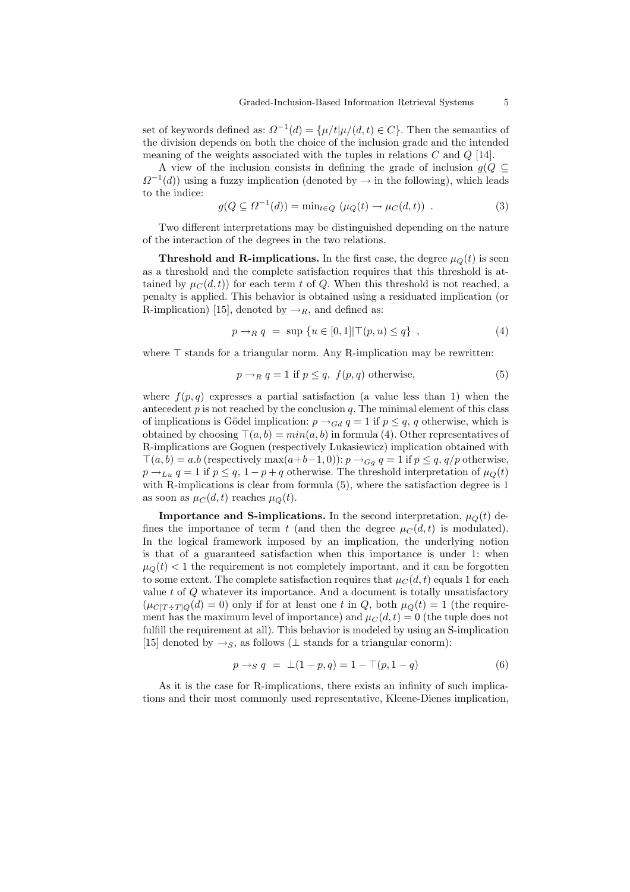set of keywords defined as:  $\Omega^{-1}(d) = {\mu/t | \mu/(d, t) \in C}$ . Then the semantics of the division depends on both the choice of the inclusion grade and the intended meaning of the weights associated with the tuples in relations  $C$  and  $Q$  [14].

A view of the inclusion consists in defining the grade of inclusion  $g(Q \subseteq$  $\Omega^{-1}(d)$ ) using a fuzzy implication (denoted by  $\rightarrow$  in the following), which leads to the indice:

$$
g(Q \subseteq \Omega^{-1}(d)) = \min_{t \in Q} (\mu_Q(t) \to \mu_C(d, t)) . \tag{3}
$$

Two different interpretations may be distinguished depending on the nature of the interaction of the degrees in the two relations.

**Threshold and R-implications.** In the first case, the degree  $\mu_Q(t)$  is seen as a threshold and the complete satisfaction requires that this threshold is attained by  $\mu_C(d, t)$  for each term t of Q. When this threshold is not reached, a penalty is applied. This behavior is obtained using a residuated implication (or R-implication) [15], denoted by  $\rightarrow_R$ , and defined as:

$$
p \to_R q = \sup \{ u \in [0,1] | \top (p, u) \le q \}, \qquad (4)
$$

where ⊤ stands for a triangular norm. Any R-implication may be rewritten:

$$
p \to_R q = 1 \text{ if } p \le q, \ f(p,q) \text{ otherwise,}
$$
 (5)

where  $f(p,q)$  expresses a partial satisfaction (a value less than 1) when the antecedent  $p$  is not reached by the conclusion  $q$ . The minimal element of this class of implications is Gödel implication:  $p \rightarrow_{Gd} q = 1$  if  $p \leq q$ , q otherwise, which is obtained by choosing  $\top(a, b) = min(a, b)$  in formula (4). Other representatives of R-implications are Goguen (respectively Lukasiewicz) implication obtained with  $\top(a, b) = a.b$  (respectively max $(a+b-1, 0)$ ):  $p \rightarrow_{Gq} q = 1$  if  $p \leq q$ ,  $q/p$  otherwise,  $p \rightarrow_{Lu} q = 1$  if  $p \leq q$ ,  $1 - p + q$  otherwise. The threshold interpretation of  $\mu_Q(t)$ with R-implications is clear from formula  $(5)$ , where the satisfaction degree is 1 as soon as  $\mu_C(d, t)$  reaches  $\mu_Q(t)$ .

**Importance and S-implications.** In the second interpretation,  $\mu_O(t)$  defines the importance of term t (and then the degree  $\mu_C(d, t)$  is modulated). In the logical framework imposed by an implication, the underlying notion is that of a guaranteed satisfaction when this importance is under 1: when  $\mu<sub>O</sub>(t) < 1$  the requirement is not completely important, and it can be forgotten to some extent. The complete satisfaction requires that  $\mu_C(d, t)$  equals 1 for each value  $t$  of  $Q$  whatever its importance. And a document is totally unsatisfactory  $(\mu_{C[T-T]Q}(d) = 0)$  only if for at least one t in Q, both  $\mu_Q(t) = 1$  (the requirement has the maximum level of importance) and  $\mu_C(d, t) = 0$  (the tuple does not fulfill the requirement at all). This behavior is modeled by using an S-implication [15] denoted by  $\rightarrow_S$ , as follows ( $\perp$  stands for a triangular conorm):

$$
p \to_{S} q = \bot(1 - p, q) = 1 - \top(p, 1 - q)
$$
\n(6)

As it is the case for R-implications, there exists an infinity of such implications and their most commonly used representative, Kleene-Dienes implication,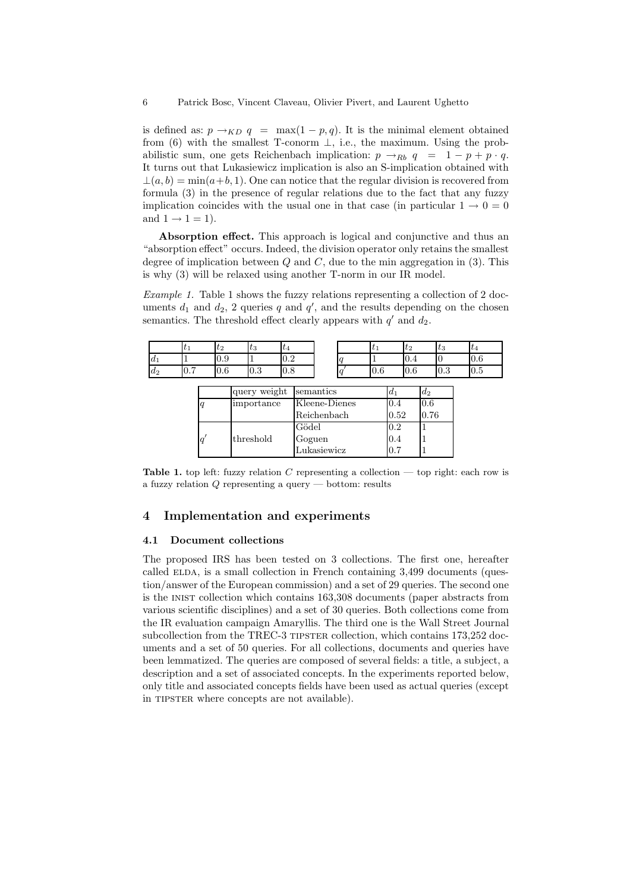is defined as:  $p \rightarrow_{KD} q = \max(1-p, q)$ . It is the minimal element obtained from (6) with the smallest T-conorm  $\perp$ , i.e., the maximum. Using the probabilistic sum, one gets Reichenbach implication:  $p \rightarrow_{Rb} q = 1 - p + p \cdot q$ . It turns out that Lukasiewicz implication is also an S-implication obtained with  $\perp(a, b) = \min(a+b, 1)$ . One can notice that the regular division is recovered from formula (3) in the presence of regular relations due to the fact that any fuzzy implication coincides with the usual one in that case (in particular  $1 \rightarrow 0 = 0$ and  $1 \rightarrow 1 = 1$ ).

Absorption effect. This approach is logical and conjunctive and thus an "absorption effect" occurs. Indeed, the division operator only retains the smallest degree of implication between  $Q$  and  $C$ , due to the min aggregation in (3). This is why (3) will be relaxed using another T-norm in our IR model.

Example 1. Table 1 shows the fuzzy relations representing a collection of 2 documents  $d_1$  and  $d_2$ , 2 queries q and  $q'$ , and the results depending on the chosen semantics. The threshold effect clearly appears with  $q'$  and  $d_2$ .

|       | ∙∟ ⊥                   | $\tau_2$ | $\iota_3$ | 1 U 4                                     | v<br>л. | $\tau_2$ | $t_3$ | $\overline{t}$               |
|-------|------------------------|----------|-----------|-------------------------------------------|---------|----------|-------|------------------------------|
| $d_1$ |                        | 0.9      |           | $\Omega$<br>$\mathsf{U} \cdot \mathsf{L}$ |         | JU.4     | υ     | 0.6                          |
| $a_2$ | $\overline{ }$<br>∪. ı | 0.6      | 0.3       | 0.8                                       | 10.6    | 0.6      | 0.3   | $\tilde{\phantom{a}}$<br>U.5 |

| query weight | semantics     | $a_1$ | $d_2$ |
|--------------|---------------|-------|-------|
| importance   | Kleene-Dienes | (0.4) | 0.6   |
|              | Reichenbach   | 0.52  | 0.76  |
|              | Gödel         | 0.2   |       |
| threshold    | Goguen        | 0.4   |       |
|              | Lukasiewicz   | 0.7   |       |

**Table 1.** top left: fuzzy relation C representing a collection — top right: each row is a fuzzy relation Q representing a query — bottom: results

# 4 Implementation and experiments

## 4.1 Document collections

The proposed IRS has been tested on 3 collections. The first one, hereafter called ELDA, is a small collection in French containing  $3,499$  documents (question/answer of the European commission) and a set of 29 queries. The second one is the INIST collection which contains 163,308 documents (paper abstracts from various scientific disciplines) and a set of 30 queries. Both collections come from the IR evaluation campaign Amaryllis. The third one is the Wall Street Journal subcollection from the TREC-3 TIPSTER collection, which contains  $173,252$  documents and a set of 50 queries. For all collections, documents and queries have been lemmatized. The queries are composed of several fields: a title, a subject, a description and a set of associated concepts. In the experiments reported below, only title and associated concepts fields have been used as actual queries (except in tipster where concepts are not available).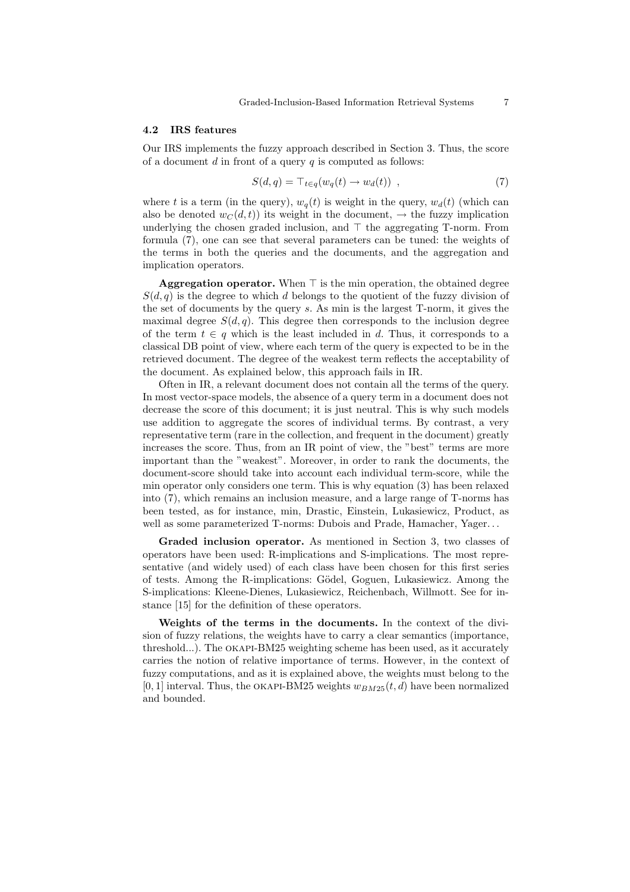#### 4.2 IRS features

Our IRS implements the fuzzy approach described in Section 3. Thus, the score of a document  $d$  in front of a query  $q$  is computed as follows:

$$
S(d,q) = \mathbb{T}_{t \in q}(w_q(t) \to w_d(t)), \qquad (7)
$$

where t is a term (in the query),  $w_q(t)$  is weight in the query,  $w_d(t)$  (which can also be denoted  $w_C(d, t)$  its weight in the document,  $\rightarrow$  the fuzzy implication underlying the chosen graded inclusion, and  $\top$  the aggregating T-norm. From formula (7), one can see that several parameters can be tuned: the weights of the terms in both the queries and the documents, and the aggregation and implication operators.

Aggregation operator. When ⊤ is the min operation, the obtained degree  $S(d, q)$  is the degree to which d belongs to the quotient of the fuzzy division of the set of documents by the query s. As min is the largest T-norm, it gives the maximal degree  $S(d, q)$ . This degree then corresponds to the inclusion degree of the term  $t \in q$  which is the least included in d. Thus, it corresponds to a classical DB point of view, where each term of the query is expected to be in the retrieved document. The degree of the weakest term reflects the acceptability of the document. As explained below, this approach fails in IR.

Often in IR, a relevant document does not contain all the terms of the query. In most vector-space models, the absence of a query term in a document does not decrease the score of this document; it is just neutral. This is why such models use addition to aggregate the scores of individual terms. By contrast, a very representative term (rare in the collection, and frequent in the document) greatly increases the score. Thus, from an IR point of view, the "best" terms are more important than the "weakest". Moreover, in order to rank the documents, the document-score should take into account each individual term-score, while the min operator only considers one term. This is why equation (3) has been relaxed into (7), which remains an inclusion measure, and a large range of T-norms has been tested, as for instance, min, Drastic, Einstein, Lukasiewicz, Product, as well as some parameterized T-norms: Dubois and Prade, Hamacher, Yager...

Graded inclusion operator. As mentioned in Section 3, two classes of operators have been used: R-implications and S-implications. The most representative (and widely used) of each class have been chosen for this first series of tests. Among the R-implications: Gödel, Goguen, Lukasiewicz. Among the S-implications: Kleene-Dienes, Lukasiewicz, Reichenbach, Willmott. See for instance [15] for the definition of these operators.

Weights of the terms in the documents. In the context of the division of fuzzy relations, the weights have to carry a clear semantics (importance, threshold...). The okapi-BM25 weighting scheme has been used, as it accurately carries the notion of relative importance of terms. However, in the context of fuzzy computations, and as it is explained above, the weights must belong to the [0, 1] interval. Thus, the OKAPI-BM25 weights  $w_{BM25}(t, d)$  have been normalized and bounded.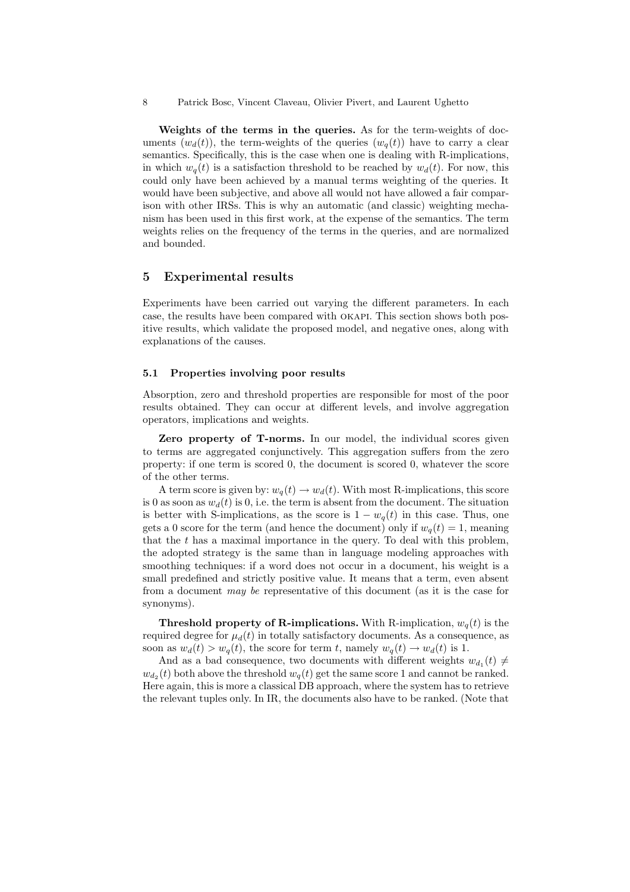8 Patrick Bosc, Vincent Claveau, Olivier Pivert, and Laurent Ughetto

Weights of the terms in the queries. As for the term-weights of documents  $(w_d(t))$ , the term-weights of the queries  $(w_q(t))$  have to carry a clear semantics. Specifically, this is the case when one is dealing with R-implications, in which  $w_q(t)$  is a satisfaction threshold to be reached by  $w_d(t)$ . For now, this could only have been achieved by a manual terms weighting of the queries. It would have been subjective, and above all would not have allowed a fair comparison with other IRSs. This is why an automatic (and classic) weighting mechanism has been used in this first work, at the expense of the semantics. The term weights relies on the frequency of the terms in the queries, and are normalized and bounded.

# 5 Experimental results

Experiments have been carried out varying the different parameters. In each case, the results have been compared with okapi. This section shows both positive results, which validate the proposed model, and negative ones, along with explanations of the causes.

## 5.1 Properties involving poor results

Absorption, zero and threshold properties are responsible for most of the poor results obtained. They can occur at different levels, and involve aggregation operators, implications and weights.

Zero property of T-norms. In our model, the individual scores given to terms are aggregated conjunctively. This aggregation suffers from the zero property: if one term is scored 0, the document is scored 0, whatever the score of the other terms.

A term score is given by:  $w_q(t) \to w_d(t)$ . With most R-implications, this score is 0 as soon as  $w_d(t)$  is 0, i.e. the term is absent from the document. The situation is better with S-implications, as the score is  $1 - w_q(t)$  in this case. Thus, one gets a 0 score for the term (and hence the document) only if  $w_q(t) = 1$ , meaning that the t has a maximal importance in the query. To deal with this problem, the adopted strategy is the same than in language modeling approaches with smoothing techniques: if a word does not occur in a document, his weight is a small predefined and strictly positive value. It means that a term, even absent from a document may be representative of this document (as it is the case for synonyms).

**Threshold property of R-implications.** With R-implication,  $w_q(t)$  is the required degree for  $\mu_d(t)$  in totally satisfactory documents. As a consequence, as soon as  $w_d(t) > w_q(t)$ , the score for term t, namely  $w_q(t) \to w_d(t)$  is 1.

And as a bad consequence, two documents with different weights  $w_{d_1}(t) \neq$  $w_{d_2}(t)$  both above the threshold  $w_q(t)$  get the same score 1 and cannot be ranked. Here again, this is more a classical DB approach, where the system has to retrieve the relevant tuples only. In IR, the documents also have to be ranked. (Note that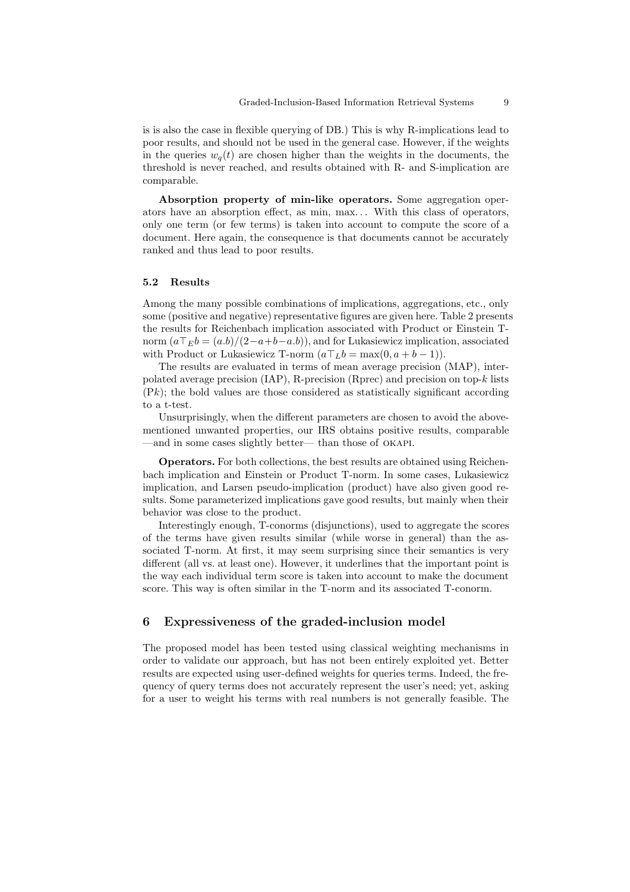is is also the case in flexible querying of DB.) This is why R-implications lead to poor results, and should not be used in the general case. However, if the weights in the queries  $w_q(t)$  are chosen higher than the weights in the documents, the threshold is never reached, and results obtained with R- and S-implication are comparable.

Absorption property of min-like operators. Some aggregation operators have an absorption effect, as min, max. . . With this class of operators, only one term (or few terms) is taken into account to compute the score of a document. Here again, the consequence is that documents cannot be accurately ranked and thus lead to poor results.

#### 5.2 Results

Among the many possible combinations of implications, aggregations, etc., only some (positive and negative) representative figures are given here. Table 2 presents the results for Reichenbach implication associated with Product or Einstein Tnorm  $(a\bar{g}) = (a.b)/(2-a+b-a.b)$ , and for Lukasiewicz implication, associated with Product or Lukasiewicz T-norm  $(a\top_L b = \max(0, a+b-1)).$ 

The results are evaluated in terms of mean average precision (MAP), interpolated average precision (IAP), R-precision (Rprec) and precision on top- $k$  lists  $(Pk)$ ; the bold values are those considered as statistically significant according to a t-test.

Unsurprisingly, when the different parameters are chosen to avoid the abovementioned unwanted properties, our IRS obtains positive results, comparable —and in some cases slightly better— than those of okapi.

Operators. For both collections, the best results are obtained using Reichenbach implication and Einstein or Product T-norm. In some cases, Lukasiewicz implication, and Larsen pseudo-implication (product) have also given good results. Some parameterized implications gave good results, but mainly when their behavior was close to the product.

Interestingly enough, T-conorms (disjunctions), used to aggregate the scores of the terms have given results similar (while worse in general) than the associated T-norm. At first, it may seem surprising since their semantics is very different (all vs. at least one). However, it underlines that the important point is the way each individual term score is taken into account to make the document score. This way is often similar in the T-norm and its associated T-conorm.

# 6 Expressiveness of the graded-inclusion model

The proposed model has been tested using classical weighting mechanisms in order to validate our approach, but has not been entirely exploited yet. Better results are expected using user-defined weights for queries terms. Indeed, the frequency of query terms does not accurately represent the user's need; yet, asking for a user to weight his terms with real numbers is not generally feasible. The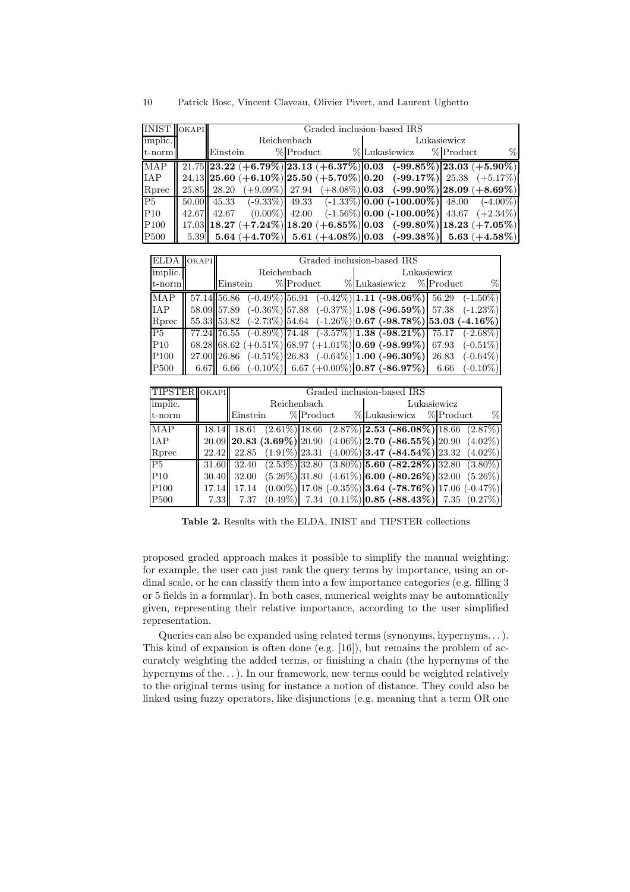| <b>INIST</b> OKAPI | Graded inclusion-based IRS |             |                               |                                                                                               |  |  |  |  |  |  |
|--------------------|----------------------------|-------------|-------------------------------|-----------------------------------------------------------------------------------------------|--|--|--|--|--|--|
| implic.            |                            | Reichenbach | Lukasiewicz                   |                                                                                               |  |  |  |  |  |  |
| t-norm             | Einstein                   | $%$ Product | $\%$ Lukasiewicz $\%$ Product | %                                                                                             |  |  |  |  |  |  |
|                    |                            |             |                               | MAP    21.75    23.22 $(+6.79\%)$   23.13 $(+6.37\%)$   0.03 $(-99.85\%)$   23.03 $(+5.90\%)$ |  |  |  |  |  |  |
| <b>IAP</b>         |                            |             |                               | 24.13 25.60 $(+6.10\%)$ 25.50 $(+5.70\%)$ 0.20 $(-99.17\%)$ 25.38 $(+5.17\%)$                 |  |  |  |  |  |  |
| Rprec              |                            |             |                               | 25.85 28.20 $(+9.09\%)$ 27.94 $(+8.08\%)$ 0.03 $(-99.90\%)$ 28.09 $(+8.69\%)$                 |  |  |  |  |  |  |
| P5                 |                            |             |                               | $50.00$ $\mid$ 45.33 $(-9.33\%)$ 49.33 $(-1.33\%)$ 0.00 $(-100.00\%)$ 48.00 $(-4.00\%)$       |  |  |  |  |  |  |
| P10                |                            |             |                               | 42.67 $(42.67 \quad (0.00\%)$ 42.00 $(-1.56\%)$ 0.00 $(-100.00\%)$ 43.67 $(+2.34\%)$          |  |  |  |  |  |  |
| P <sub>100</sub>   |                            |             |                               | $17.03  18.27 (+7.24\%) 18.20 (+6.85\%) 0.03 (-99.80\%) 18.23 (+7.05\%) $                     |  |  |  |  |  |  |
| P <sub>500</sub>   |                            |             |                               | $\left[5.39\right]$ 5.64 (+4.70%) 5.61 (+4.08%) 0.03 (-99.38%) 5.63 (+4.58%)                  |  |  |  |  |  |  |

10 Patrick Bosc, Vincent Claveau, Olivier Pivert, and Laurent Ughetto

| ELDA OKAPI              |             | Graded inclusion-based IRS                                                                                                          |             |  |  |                       |             |  |      |             |  |  |
|-------------------------|-------------|-------------------------------------------------------------------------------------------------------------------------------------|-------------|--|--|-----------------------|-------------|--|------|-------------|--|--|
| implic.                 | Reichenbach |                                                                                                                                     |             |  |  |                       | Lukasiewicz |  |      |             |  |  |
| t-norm                  | Einstein    |                                                                                                                                     | $%$ Product |  |  | %Lukasiewicz %Product |             |  | $\%$ |             |  |  |
| $\overline{\text{MAP}}$ |             | $\vert$ 57.14 56.86 (-0.49%) 56.91 (-0.42%) 1.11 (-98.06%) 56.29 (-1.50%)                                                           |             |  |  |                       |             |  |      |             |  |  |
| IAP                     |             | $58.09$   57.89 $(-0.36\%)$   57.88 $(-0.37\%)$    <b>1.98 <math>(-96.59\%)</math></b>   57.38 $(-1.23\%)$                          |             |  |  |                       |             |  |      |             |  |  |
| Rprec                   |             | 55.33 53.82 $(-2.73\%)$ 54.64 $(-1.26\%)$ 0.67 $(-98.78\%)$ 53.03 $(-4.16\%)$                                                       |             |  |  |                       |             |  |      |             |  |  |
| P5                      |             | $77.24$ $76.55$ $(-0.89\%)$ $74.48$ $(-3.57\%)$ $1.38$ $(-98.21\%)$ $75.17$ $(-2.68\%)$                                             |             |  |  |                       |             |  |      |             |  |  |
| P10                     |             | 68.28 68.62 $(+0.51\%)$ 68.97 $(+1.01\%)$ 0.69 $(-98.99\%)$ 67.93 $(-0.51\%)$                                                       |             |  |  |                       |             |  |      |             |  |  |
| P <sub>100</sub>        |             | 27.00 $\left  26.86 \right  (-0.51\%) \left  26.83 \right  (-0.64\%) \left  1.00 \right  (-96.30\%) \left  26.83 \right  (-0.64\%)$ |             |  |  |                       |             |  |      |             |  |  |
| P <sub>500</sub>        |             | 6.67 6.66 $(-0.10\%)$ 6.67 $(+0.00\%)$ 0.87 $(-86.97\%)$ 6.66                                                                       |             |  |  |                       |             |  |      | $(-0.10\%)$ |  |  |

| TIPSTER OKAPI    |       | Graded inclusion-based IRS |                                                                                      |          |  |                       |  |  |             |                                                                   |  |  |
|------------------|-------|----------------------------|--------------------------------------------------------------------------------------|----------|--|-----------------------|--|--|-------------|-------------------------------------------------------------------|--|--|
| implic.          |       |                            | Reichenbach                                                                          |          |  |                       |  |  | Lukasiewicz |                                                                   |  |  |
| t-norm           |       | Einstein                   |                                                                                      | %Product |  | %Lukasiewicz %Product |  |  |             | %                                                                 |  |  |
| MAP              |       |                            | 18.14 18.61 $(2.61\%)$ 18.66 $(2.87\%)$ 2.53 (-86.08%) 18.66 $(2.87\%)$              |          |  |                       |  |  |             |                                                                   |  |  |
| <b>IAP</b>       |       |                            | 20.09   20.83 $(3.69\%)$   20.90 $(4.06\%)$   2.70 $(-86.55\%)$   20.90 $(4.02\%)$   |          |  |                       |  |  |             |                                                                   |  |  |
| Rprec            |       |                            | $22.42$ 22.85 $(1.91\%)$ 23.31 $(4.00\%)$ 3.47 $(-84.54\%)$ 23.32 $(4.02\%)$         |          |  |                       |  |  |             |                                                                   |  |  |
| P <sub>5</sub>   |       |                            | $31.60$ $32.40$ $(2.53\%)$ $32.80$ $(3.80\%)$ $5.60$ $(-82.28\%)$ $32.80$ $(3.80\%)$ |          |  |                       |  |  |             |                                                                   |  |  |
| P10              |       | $30.40 \mid 32.00$         |                                                                                      |          |  |                       |  |  |             | $(5.26\%)$ 31.80 $(4.61\%)$ 6.00 $(-80.26\%)$ 32.00 $(5.26\%)$    |  |  |
| P <sub>100</sub> | 17.14 | 17.14                      |                                                                                      |          |  |                       |  |  |             | $(0.00\%)$  17.08 (-0.35%)  <b>3.64 (-78.76%)</b>  17.06 (-0.47%) |  |  |
| <b>P500</b>      |       | 7.33 7.37                  |                                                                                      |          |  |                       |  |  |             | $(0.49\%)$ 7.34 $(0.11\%)$ 0.85 (-88.43%) 7.35 $(0.27\%)$         |  |  |

Table 2. Results with the ELDA, INIST and TIPSTER collections

proposed graded approach makes it possible to simplify the manual weighting: for example, the user can just rank the query terms by importance, using an ordinal scale, or he can classify them into a few importance categories (e.g. filling 3 or 5 fields in a formular). In both cases, numerical weights may be automatically given, representing their relative importance, according to the user simplified representation.

Queries can also be expanded using related terms (synonyms, hypernyms. . . ). This kind of expansion is often done (e.g. [16]), but remains the problem of accurately weighting the added terms, or finishing a chain (the hypernyms of the hypernyms of the. . . ). In our framework, new terms could be weighted relatively to the original terms using for instance a notion of distance. They could also be linked using fuzzy operators, like disjunctions (e.g. meaning that a term OR one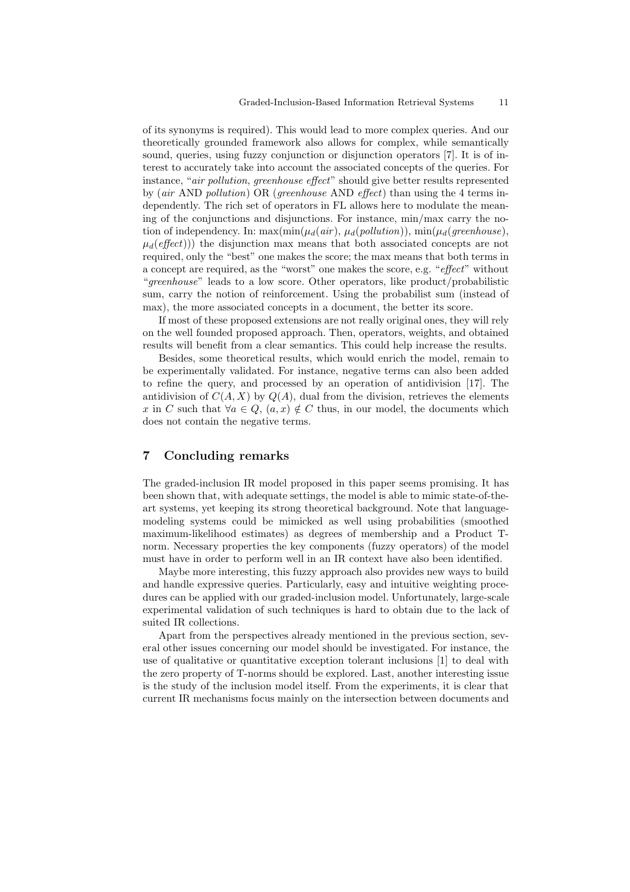of its synonyms is required). This would lead to more complex queries. And our theoretically grounded framework also allows for complex, while semantically sound, queries, using fuzzy conjunction or disjunction operators [7]. It is of interest to accurately take into account the associated concepts of the queries. For instance, "air pollution, greenhouse effect" should give better results represented by (air AND pollution) OR (greenhouse AND effect) than using the 4 terms independently. The rich set of operators in FL allows here to modulate the meaning of the conjunctions and disjunctions. For instance, min/max carry the notion of independency. In:  $\max(\min(\mu_d(air), \mu_d(pollution)), \min(\mu_d(qreenhouse)),$  $\mu_d(effect))$  the disjunction max means that both associated concepts are not required, only the "best" one makes the score; the max means that both terms in a concept are required, as the "worst" one makes the score, e.g. "effect" without "greenhouse" leads to a low score. Other operators, like product/probabilistic sum, carry the notion of reinforcement. Using the probabilist sum (instead of max), the more associated concepts in a document, the better its score.

If most of these proposed extensions are not really original ones, they will rely on the well founded proposed approach. Then, operators, weights, and obtained results will benefit from a clear semantics. This could help increase the results.

Besides, some theoretical results, which would enrich the model, remain to be experimentally validated. For instance, negative terms can also been added to refine the query, and processed by an operation of antidivision [17]. The antidivision of  $C(A, X)$  by  $Q(A)$ , dual from the division, retrieves the elements x in C such that  $\forall a \in Q$ ,  $(a, x) \notin C$  thus, in our model, the documents which does not contain the negative terms.

# 7 Concluding remarks

The graded-inclusion IR model proposed in this paper seems promising. It has been shown that, with adequate settings, the model is able to mimic state-of-theart systems, yet keeping its strong theoretical background. Note that languagemodeling systems could be mimicked as well using probabilities (smoothed maximum-likelihood estimates) as degrees of membership and a Product Tnorm. Necessary properties the key components (fuzzy operators) of the model must have in order to perform well in an IR context have also been identified.

Maybe more interesting, this fuzzy approach also provides new ways to build and handle expressive queries. Particularly, easy and intuitive weighting procedures can be applied with our graded-inclusion model. Unfortunately, large-scale experimental validation of such techniques is hard to obtain due to the lack of suited IR collections.

Apart from the perspectives already mentioned in the previous section, several other issues concerning our model should be investigated. For instance, the use of qualitative or quantitative exception tolerant inclusions [1] to deal with the zero property of T-norms should be explored. Last, another interesting issue is the study of the inclusion model itself. From the experiments, it is clear that current IR mechanisms focus mainly on the intersection between documents and